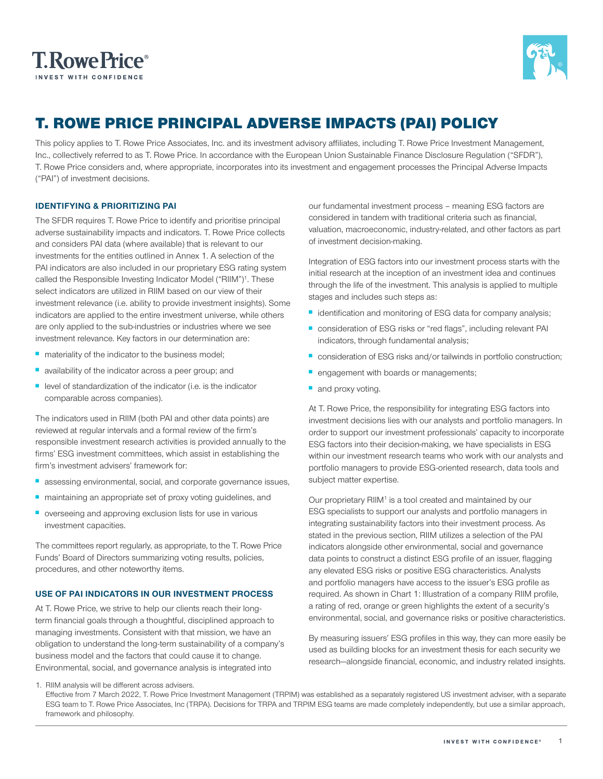



## T. ROWE PRICE PRINCIPAL ADVERSE IMPACTS (PAI) POLICY

This policy applies to T. Rowe Price Associates, Inc. and its investment advisory affiliates, including T. Rowe Price Investment Management, Inc., collectively referred to as T. Rowe Price. In accordance with the European Union Sustainable Finance Disclosure Regulation ("SFDR"), T. Rowe Price considers and, where appropriate, incorporates into its investment and engagement processes the Principal Adverse Impacts ("PAI") of investment decisions.

#### **IDENTIFYING & PRIORITIZING PAI**

The SFDR requires T. Rowe Price to identify and prioritise principal adverse sustainability impacts and indicators. T. Rowe Price collects and considers PAI data (where available) that is relevant to our investments for the entities outlined in Annex 1. A selection of the PAI indicators are also included in our proprietary ESG rating system called the Responsible Investing Indicator Model ("RIIM")<sup>1</sup>. These select indicators are utilized in RIIM based on our view of their investment relevance (i.e. ability to provide investment insights). Some indicators are applied to the entire investment universe, while others are only applied to the sub-industries or industries where we see investment relevance. Key factors in our determination are:

- materiality of the indicator to the business model;
- availability of the indicator across a peer group; and
- level of standardization of the indicator (i.e. is the indicator comparable across companies).

The indicators used in RIIM (both PAI and other data points) are reviewed at regular intervals and a formal review of the firm's responsible investment research activities is provided annually to the firms' ESG investment committees, which assist in establishing the firm's investment advisers' framework for:

- assessing environmental, social, and corporate governance issues,
- maintaining an appropriate set of proxy voting guidelines, and
- overseeing and approving exclusion lists for use in various investment capacities.

The committees report regularly, as appropriate, to the T. Rowe Price Funds' Board of Directors summarizing voting results, policies, procedures, and other noteworthy items.

#### **USE OF PAI INDICATORS IN OUR INVESTMENT PROCESS**

At T. Rowe Price, we strive to help our clients reach their longterm financial goals through a thoughtful, disciplined approach to managing investments. Consistent with that mission, we have an obligation to understand the long-term sustainability of a company's business model and the factors that could cause it to change. Environmental, social, and governance analysis is integrated into

our fundamental investment process – meaning ESG factors are considered in tandem with traditional criteria such as financial, valuation, macroeconomic, industry-related, and other factors as part of investment decision-making.

Integration of ESG factors into our investment process starts with the initial research at the inception of an investment idea and continues through the life of the investment. This analysis is applied to multiple stages and includes such steps as:

- identification and monitoring of ESG data for company analysis;
- consideration of ESG risks or "red flags", including relevant PAI indicators, through fundamental analysis;
- consideration of ESG risks and/or tailwinds in portfolio construction;
- **engagement with boards or managements;**
- and proxy voting.

At T. Rowe Price, the responsibility for integrating ESG factors into investment decisions lies with our analysts and portfolio managers. In order to support our investment professionals' capacity to incorporate ESG factors into their decision-making, we have specialists in ESG within our investment research teams who work with our analysts and portfolio managers to provide ESG-oriented research, data tools and subject matter expertise.

Our proprietary RIIM<sup>1</sup> is a tool created and maintained by our ESG specialists to support our analysts and portfolio managers in integrating sustainability factors into their investment process. As stated in the previous section, RIIM utilizes a selection of the PAI indicators alongside other environmental, social and governance data points to construct a distinct ESG profile of an issuer, flagging any elevated ESG risks or positive ESG characteristics. Analysts and portfolio managers have access to the issuer's ESG profile as required. As shown in Chart 1: Illustration of a company RIIM profile, a rating of red, orange or green highlights the extent of a security's environmental, social, and governance risks or positive characteristics.

By measuring issuers' ESG profiles in this way, they can more easily be used as building blocks for an investment thesis for each security we research—alongside financial, economic, and industry related insights.

1. RIIM analysis will be different across advisers. Effective from 7 March 2022, T. Rowe Price Investment Management (TRPIM) was established as a separately registered US investment adviser, with a separate ESG team to T. Rowe Price Associates, Inc (TRPA). Decisions for TRPA and TRPIM ESG teams are made completely independently, but use a similar approach, framework and philosophy.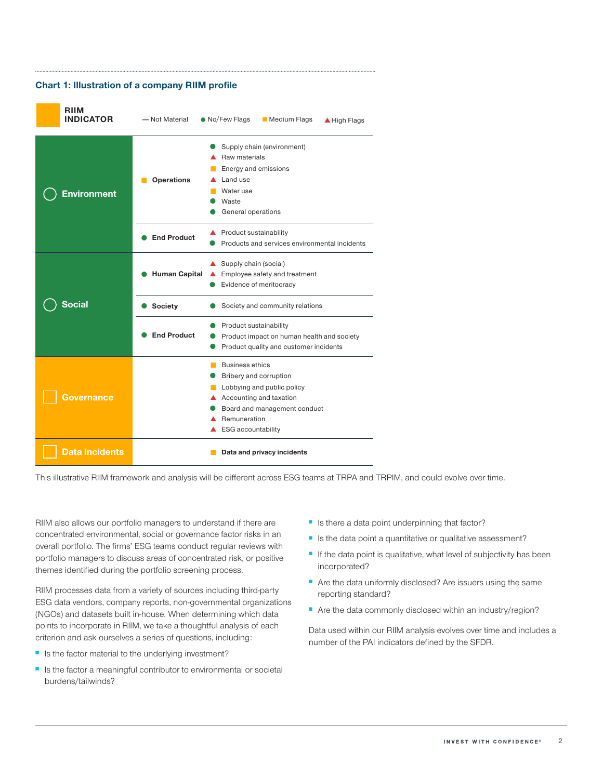

This illustrative RIIM framework and analysis will be different across ESG teams at TRPA and TRPIM, and could evolve over time.

RIIM also allows our portfolio managers to understand if there are concentrated environmental, social or governance factor risks in an overall portfolio. The firms' ESG teams conduct regular reviews with portfolio managers to discuss areas of concentrated risk, or positive themes identified during the portfolio screening process.

RIIM processes data from a variety of sources including third-party ESG data vendors, company reports, non-governmental organizations (NGOs) and datasets built in-house. When determining which data points to incorporate in RIIM, we take a thoughtful analysis of each criterion and ask ourselves a series of questions, including:

- Is the factor material to the underlying investment?
- Is the factor a meaningful contributor to environmental or societal burdens/tailwinds?
- Is there a data point underpinning that factor?
- Is the data point a quantitative or qualitative assessment?
- If the data point is qualitative, what level of subjectivity has been incorporated?
- Are the data uniformly disclosed? Are issuers using the same reporting standard?
- Are the data commonly disclosed within an industry/region?

Data used within our RIIM analysis evolves over time and includes a number of the PAI indicators defined by the SFDR.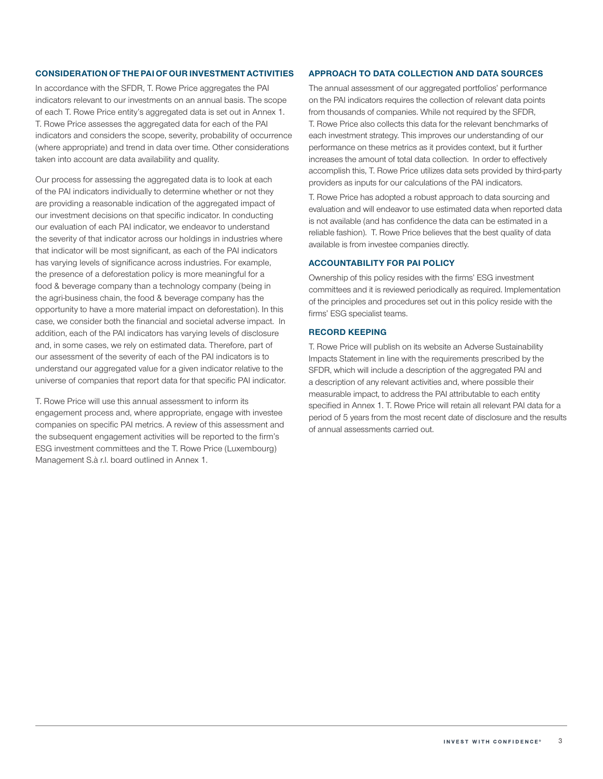#### **CONSIDERATION OF THE PAI OF OUR INVESTMENT ACTIVITIES**

In accordance with the SFDR. T. Rowe Price aggregates the PAI indicators relevant to our investments on an annual basis. The scope of each T. Rowe Price entity's aggregated data is set out in Annex 1. T. Rowe Price assesses the aggregated data for each of the PAI indicators and considers the scope, severity, probability of occurrence (where appropriate) and trend in data over time. Other considerations taken into account are data availability and quality.

Our process for assessing the aggregated data is to look at each of the PAI indicators individually to determine whether or not they are providing a reasonable indication of the aggregated impact of our investment decisions on that specific indicator. In conducting our evaluation of each PAI indicator, we endeavor to understand the severity of that indicator across our holdings in industries where that indicator will be most significant, as each of the PAI indicators has varying levels of significance across industries. For example, the presence of a deforestation policy is more meaningful for a food & beverage company than a technology company (being in the agri-business chain, the food & beverage company has the opportunity to have a more material impact on deforestation). In this case, we consider both the financial and societal adverse impact. In addition, each of the PAI indicators has varying levels of disclosure and, in some cases, we rely on estimated data. Therefore, part of our assessment of the severity of each of the PAI indicators is to understand our aggregated value for a given indicator relative to the universe of companies that report data for that specific PAI indicator.

T. Rowe Price will use this annual assessment to inform its engagement process and, where appropriate, engage with investee companies on specific PAI metrics. A review of this assessment and the subsequent engagement activities will be reported to the firm's ESG investment committees and the T. Rowe Price (Luxembourg) Management S.à r.l. board outlined in Annex 1.

#### **APPROACH TO DATA COLLECTION AND DATA SOURCES**

The annual assessment of our aggregated portfolios' performance on the PAI indicators requires the collection of relevant data points from thousands of companies. While not required by the SFDR, T. Rowe Price also collects this data for the relevant benchmarks of each investment strategy. This improves our understanding of our performance on these metrics as it provides context, but it further increases the amount of total data collection. In order to effectively accomplish this, T. Rowe Price utilizes data sets provided by third-party providers as inputs for our calculations of the PAI indicators.

T. Rowe Price has adopted a robust approach to data sourcing and evaluation and will endeavor to use estimated data when reported data is not available (and has confidence the data can be estimated in a reliable fashion). T. Rowe Price believes that the best quality of data available is from investee companies directly.

#### **ACCOUNTABILITY FOR PAI POLICY**

Ownership of this policy resides with the firms' ESG investment committees and it is reviewed periodically as required. Implementation of the principles and procedures set out in this policy reside with the firms' ESG specialist teams.

#### **RECORD KEEPING**

T. Rowe Price will publish on its website an Adverse Sustainability Impacts Statement in line with the requirements prescribed by the SFDR, which will include a description of the aggregated PAI and a description of any relevant activities and, where possible their measurable impact, to address the PAI attributable to each entity specified in Annex 1. T. Rowe Price will retain all relevant PAI data for a period of 5 years from the most recent date of disclosure and the results of annual assessments carried out.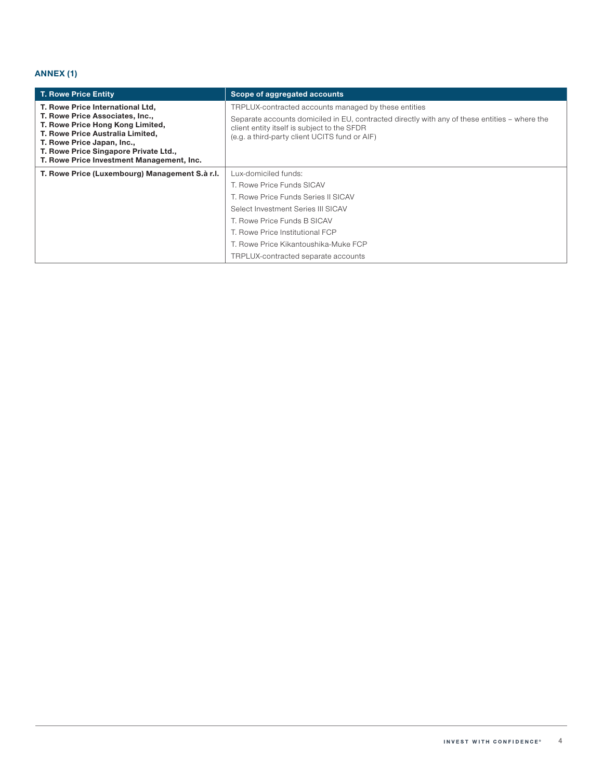## **ANNEX (1)**

| <b>T. Rowe Price Entity</b>                                                                                                                                                                                                                                     | Scope of aggregated accounts                                                                                                                                                                                                                                                    |
|-----------------------------------------------------------------------------------------------------------------------------------------------------------------------------------------------------------------------------------------------------------------|---------------------------------------------------------------------------------------------------------------------------------------------------------------------------------------------------------------------------------------------------------------------------------|
| T. Rowe Price International Ltd,<br>T. Rowe Price Associates, Inc.,<br>T. Rowe Price Hong Kong Limited,<br>T. Rowe Price Australia Limited,<br>T. Rowe Price Japan, Inc.,<br>T. Rowe Price Singapore Private Ltd.,<br>T. Rowe Price Investment Management, Inc. | TRPLUX-contracted accounts managed by these entities<br>Separate accounts domiciled in EU, contracted directly with any of these entities – where the<br>client entity itself is subject to the SFDR<br>(e.g. a third-party client UCITS fund or AIF)                           |
| T. Rowe Price (Luxembourg) Management S.à r.l.                                                                                                                                                                                                                  | Lux-domiciled funds:<br>T. Rowe Price Funds SICAV<br>T. Rowe Price Funds Series II SICAV<br>Select Investment Series III SICAV<br>T. Rowe Price Funds B SICAV<br>T. Rowe Price Institutional FCP<br>T. Rowe Price Kikantoushika-Muke FCP<br>TRPLUX-contracted separate accounts |